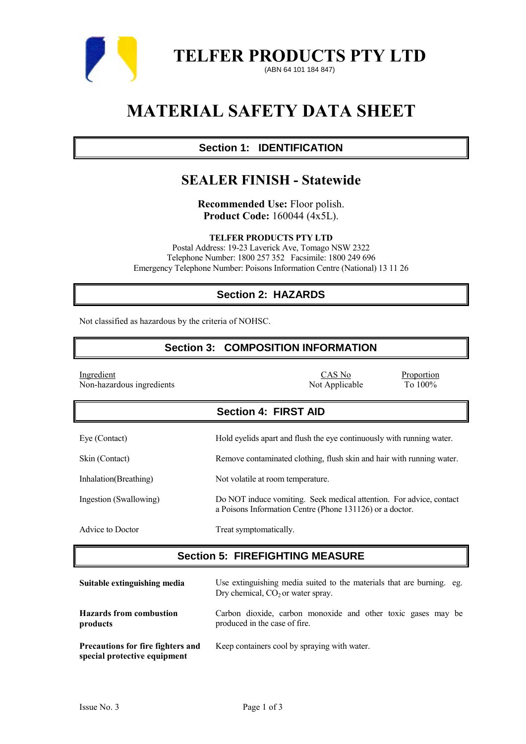

**TELFER PRODUCTS PTY LTD**

(ABN 64 101 184 847)

# **MATERIAL SAFETY DATA SHEET**

# **Section 1: IDENTIFICATION**

# **SEALER FINISH - Statewide**

**Recommended Use:** Floor polish. **Product Code:** 160044 (4x5L).

**TELFER PRODUCTS PTY LTD**

Postal Address: 19-23 Laverick Ave, Tomago NSW 2322 Telephone Number: 1800 257 352 Facsimile: 1800 249 696 Emergency Telephone Number: Poisons Information Centre (National) 13 11 26

# **Section 2: HAZARDS**

Not classified as hazardous by the criteria of NOHSC.

# **Section 3: COMPOSITION INFORMATION**

| Ingredient<br>Non-hazardous ingredients | CAS No<br>Proportion<br>Not Applicable<br>To $100\%$                                                                            |
|-----------------------------------------|---------------------------------------------------------------------------------------------------------------------------------|
|                                         | <b>Section 4: FIRST AID</b>                                                                                                     |
| Eye (Contact)                           | Hold eyelids apart and flush the eye continuously with running water.                                                           |
| Skin (Contact)                          | Remove contaminated clothing, flush skin and hair with running water.                                                           |
| Inhalation (Breathing)                  | Not volatile at room temperature.                                                                                               |
| Ingestion (Swallowing)                  | Do NOT induce vomiting. Seek medical attention. For advice, contact<br>a Poisons Information Centre (Phone 131126) or a doctor. |
| Advice to Doctor                        | Treat symptomatically.                                                                                                          |

# **Section 5: FIREFIGHTING MEASURE**

| Suitable extinguishing media                                             | Use extinguishing media suited to the materials that are burning. eg.<br>Dry chemical, $CO2$ or water spray. |  |  |
|--------------------------------------------------------------------------|--------------------------------------------------------------------------------------------------------------|--|--|
| <b>Hazards from combustion</b><br>products                               | Carbon dioxide, carbon monoxide and other toxic gases may be<br>produced in the case of fire.                |  |  |
| <b>Precautions for fire fighters and</b><br>special protective equipment | Keep containers cool by spraying with water.                                                                 |  |  |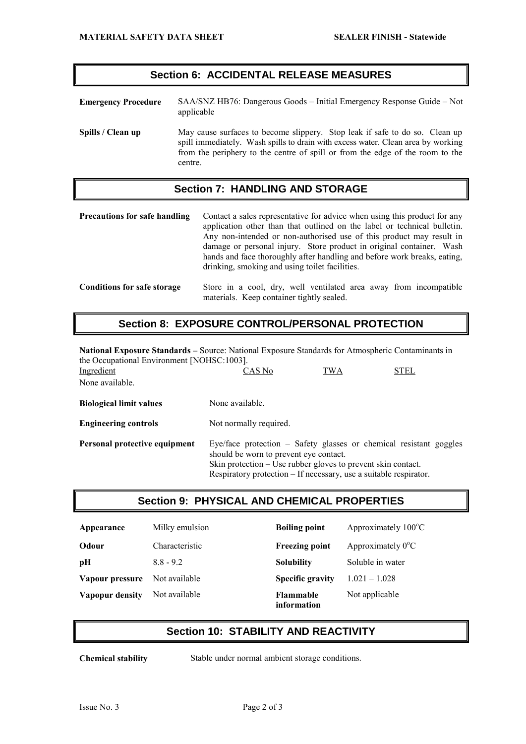#### **Section 6: ACCIDENTAL RELEASE MEASURES**

**Emergency Procedure** SAA/SNZ HB76: Dangerous Goods – Initial Emergency Response Guide – Not applicable **Spills / Clean up** May cause surfaces to become slippery. Stop leak if safe to do so. Clean up spill immediately. Wash spills to drain with excess water. Clean area by working from the periphery to the centre of spill or from the edge of the room to the centre.

#### **Section 7: HANDLING AND STORAGE**

**Precautions for safe handling** Contact a sales representative for advice when using this product for any application other than that outlined on the label or technical bulletin. Any non-intended or non-authorised use of this product may result in damage or personal injury. Store product in original container. Wash hands and face thoroughly after handling and before work breaks, eating, drinking, smoking and using toilet facilities.

#### **Conditions for safe storage** Store in a cool, dry, well ventilated area away from incompatible materials. Keep container tightly sealed.

# **Section 8: EXPOSURE CONTROL/PERSONAL PROTECTION**

**National Exposure Standards –** Source: National Exposure Standards for Atmospheric Contaminants in the Occupational Environment [NOHSC:1003].<br>Ingredient CAS No Ingredient CAS No TWA STEL None available. **Biological limit values** None available. **Engineering controls** Not normally required. **Personal protective equipment** Eye/face protection – Safety glasses or chemical resistant goggles

should be worn to prevent eye contact. Skin protection – Use rubber gloves to prevent skin contact. Respiratory protection – If necessary, use a suitable respirator.

#### **Section 9: PHYSICAL AND CHEMICAL PROPERTIES**

| Appearance      | Milky emulsion | <b>Boiling point</b>            | Approximately $100^{\circ}$ C |
|-----------------|----------------|---------------------------------|-------------------------------|
| Odour           | Characteristic | <b>Freezing point</b>           | Approximately $0^{\circ}$ C   |
| pH              | $8.8 - 9.2$    | <b>Solubility</b>               | Soluble in water              |
| Vapour pressure | Not available  | <b>Specific gravity</b>         | $1.021 - 1.028$               |
| Vapopur density | Not available  | <b>Flammable</b><br>information | Not applicable                |

### **Section 10: STABILITY AND REACTIVITY**

**Chemical stability** Stable under normal ambient storage conditions.